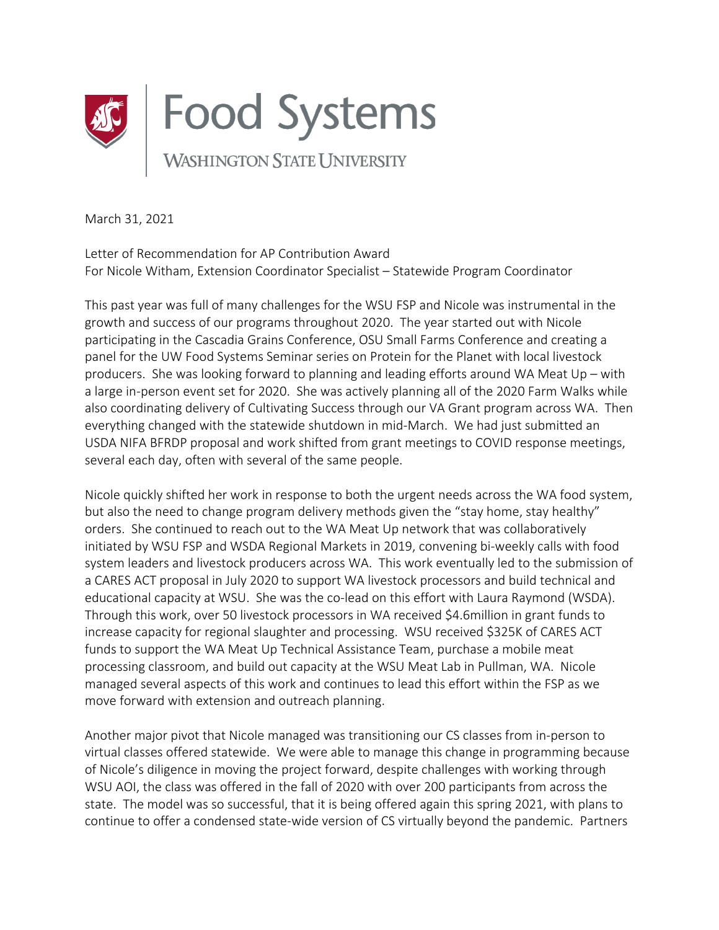

March 31, 2021

Letter of Recommendation for AP Contribution Award For Nicole Witham, Extension Coordinator Specialist – Statewide Program Coordinator

This past year was full of many challenges for the WSU FSP and Nicole was instrumental in the growth and success of our programs throughout 2020. The year started out with Nicole participating in the Cascadia Grains Conference, OSU Small Farms Conference and creating a panel for the UW Food Systems Seminar series on Protein for the Planet with local livestock producers. She was looking forward to planning and leading efforts around WA Meat Up – with a large in-person event set for 2020. She was actively planning all of the 2020 Farm Walks while also coordinating delivery of Cultivating Success through our VA Grant program across WA. Then everything changed with the statewide shutdown in mid-March. We had just submitted an USDA NIFA BFRDP proposal and work shifted from grant meetings to COVID response meetings, several each day, often with several of the same people.

Nicole quickly shifted her work in response to both the urgent needs across the WA food system, but also the need to change program delivery methods given the "stay home, stay healthy" orders. She continued to reach out to the WA Meat Up network that was collaboratively initiated by WSU FSP and WSDA Regional Markets in 2019, convening bi-weekly calls with food system leaders and livestock producers across WA. This work eventually led to the submission of a CARES ACT proposal in July 2020 to support WA livestock processors and build technical and educational capacity at WSU. She was the co-lead on this effort with Laura Raymond (WSDA). Through this work, over 50 livestock processors in WA received \$4.6million in grant funds to increase capacity for regional slaughter and processing. WSU received \$325K of CARES ACT funds to support the WA Meat Up Technical Assistance Team, purchase a mobile meat processing classroom, and build out capacity at the WSU Meat Lab in Pullman, WA. Nicole managed several aspects of this work and continues to lead this effort within the FSP as we move forward with extension and outreach planning.

Another major pivot that Nicole managed was transitioning our CS classes from in-person to virtual classes offered statewide. We were able to manage this change in programming because of Nicole's diligence in moving the project forward, despite challenges with working through WSU AOI, the class was offered in the fall of 2020 with over 200 participants from across the state. The model was so successful, that it is being offered again this spring 2021, with plans to continue to offer a condensed state-wide version of CS virtually beyond the pandemic. Partners